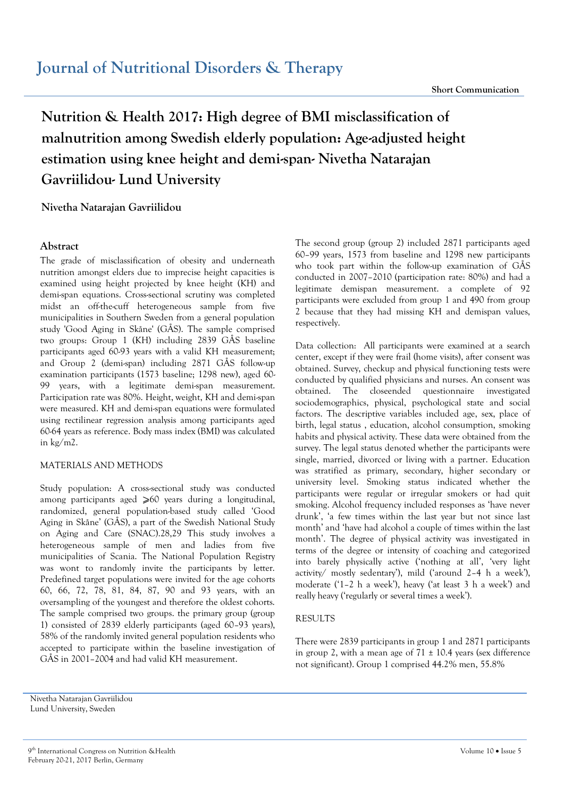# **Nutrition & Health 2017: High degree of BMI misclassification of malnutrition among Swedish elderly population: Age-adjusted height estimation using knee height and demi-span- Nivetha Natarajan Gavriilidou- Lund University**

## **Nivetha Natarajan Gavriilidou**

## **Abstract**

The grade of misclassification of obesity and underneath nutrition amongst elders due to imprecise height capacities is examined using height projected by knee height (KH) and demi-span equations. Cross-sectional scrutiny was completed midst an off-the-cuff heterogeneous sample from five municipalities in Southern Sweden from a general population study 'Good Aging in Skåne' (GÅS). The sample comprised two groups: Group 1 (KH) including 2839 GÅS baseline participants aged 60-93 years with a valid KH measurement; and Group 2 (demi-span) including 2871 GÅS follow-up examination participants (1573 baseline; 1298 new), aged 60- 99 years, with a legitimate demi-span measurement. Participation rate was 80%. Height, weight, KH and demi-span were measured. KH and demi-span equations were formulated using rectilinear regression analysis among participants aged 60-64 years as reference. Body mass index (BMI) was calculated in kg/m2.

#### MATERIALS AND METHODS

Study population: A cross-sectional study was conducted among participants aged ≥60 years during a longitudinal, randomized, general population-based study called 'Good Aging in Skåne' (GÅS), a part of the Swedish National Study on Aging and Care (SNAC).28,29 This study involves a heterogeneous sample of men and ladies from five municipalities of Scania. The National Population Registry was wont to randomly invite the participants by letter. Predefined target populations were invited for the age cohorts 60, 66, 72, 78, 81, 84, 87, 90 and 93 years, with an oversampling of the youngest and therefore the oldest cohorts. The sample comprised two groups. the primary group (group 1) consisted of 2839 elderly participants (aged 60–93 years), 58% of the randomly invited general population residents who accepted to participate within the baseline investigation of GÅS in 2001–2004 and had valid KH measurement.

The second group (group 2) included 2871 participants aged 60–99 years, 1573 from baseline and 1298 new participants who took part within the follow-up examination of GÅS conducted in 2007–2010 (participation rate: 80%) and had a legitimate demispan measurement. a complete of 92 participants were excluded from group 1 and 490 from group 2 because that they had missing KH and demispan values, respectively.

Data collection: All participants were examined at a search center, except if they were frail (home visits), after consent was obtained. Survey, checkup and physical functioning tests were conducted by qualified physicians and nurses. An consent was obtained. The closeended questionnaire investigated sociodemographics, physical, psychological state and social factors. The descriptive variables included age, sex, place of birth, legal status , education, alcohol consumption, smoking habits and physical activity. These data were obtained from the survey. The legal status denoted whether the participants were single, married, divorced or living with a partner. Education was stratified as primary, secondary, higher secondary or university level. Smoking status indicated whether the participants were regular or irregular smokers or had quit smoking. Alcohol frequency included responses as 'have never drunk', 'a few times within the last year but not since last month' and 'have had alcohol a couple of times within the last month'. The degree of physical activity was investigated in terms of the degree or intensity of coaching and categorized into barely physically active ('nothing at all', 'very light activity/ mostly sedentary'), mild ('around 2–4 h a week'), moderate ('1–2 h a week'), heavy ('at least 3 h a week') and really heavy ('regularly or several times a week').

## RESULTS

There were 2839 participants in group 1 and 2871 participants in group 2, with a mean age of  $71 \pm 10.4$  years (sex difference not significant). Group 1 comprised 44.2% men, 55.8%

Nivetha Natarajan Gavriilidou Lund University, Sweden